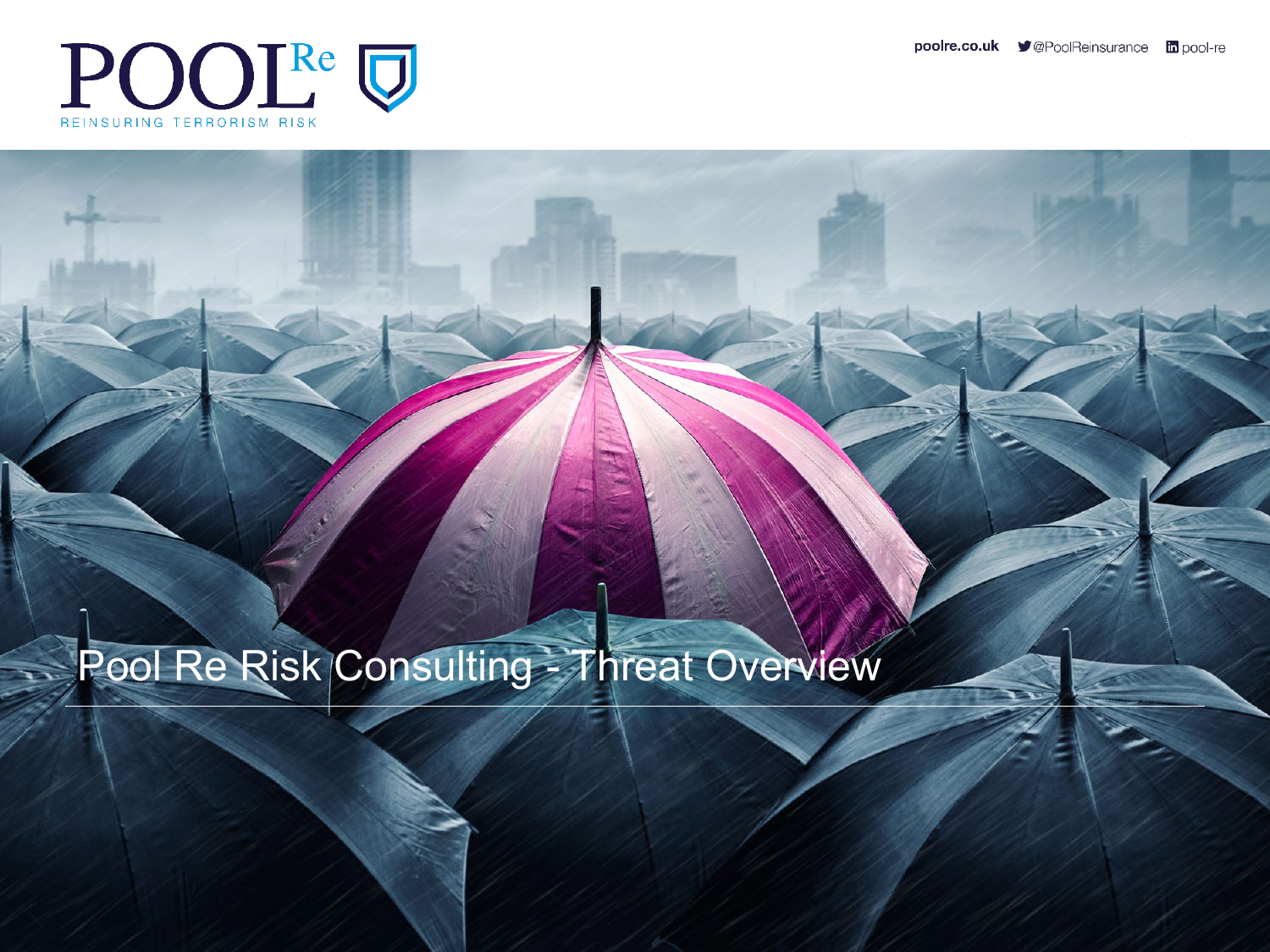

#### Pool Re Risk Consulting - Threat Overview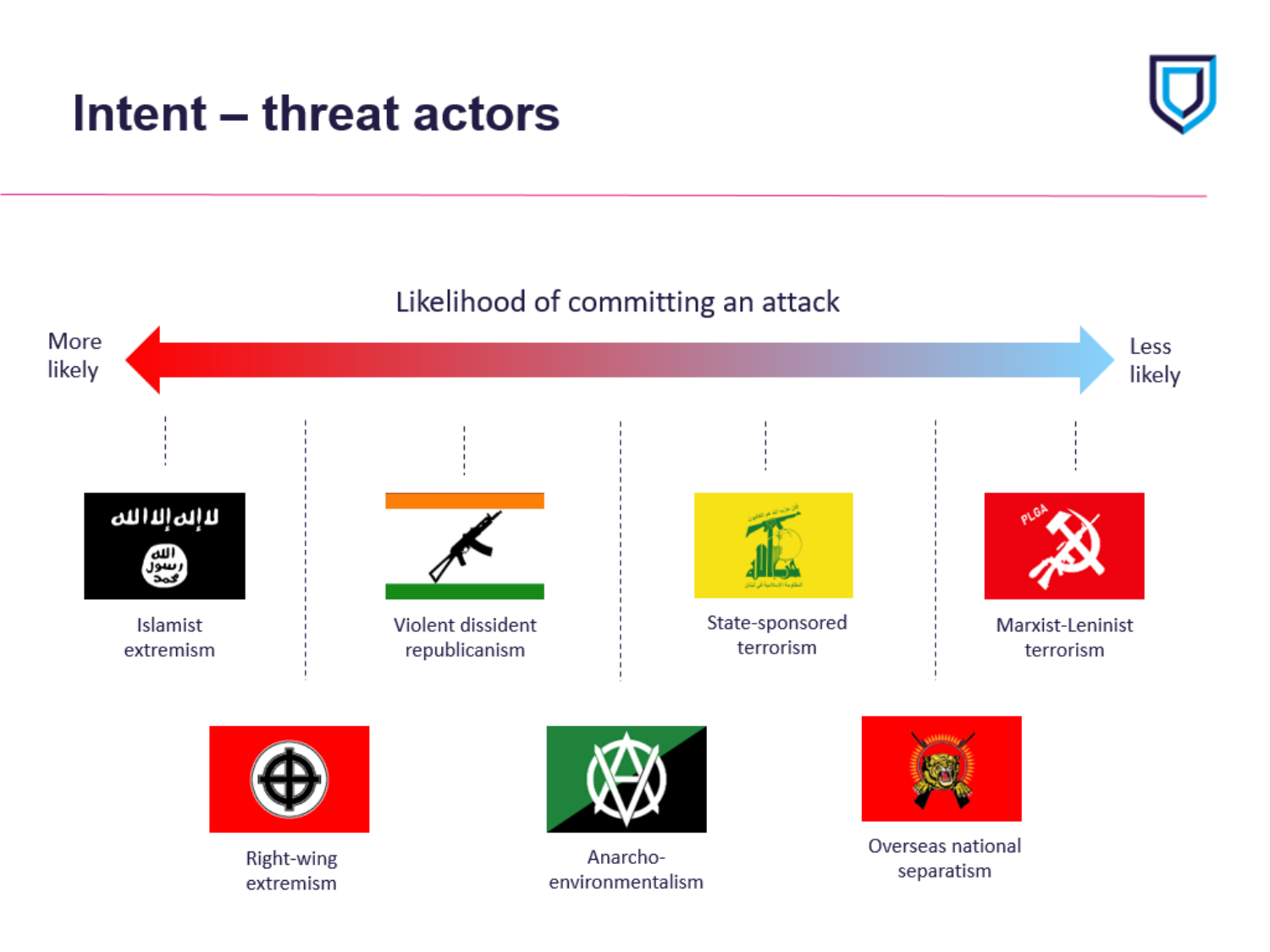## **Intent – threat actors**



#### Likelihood of committing an attack

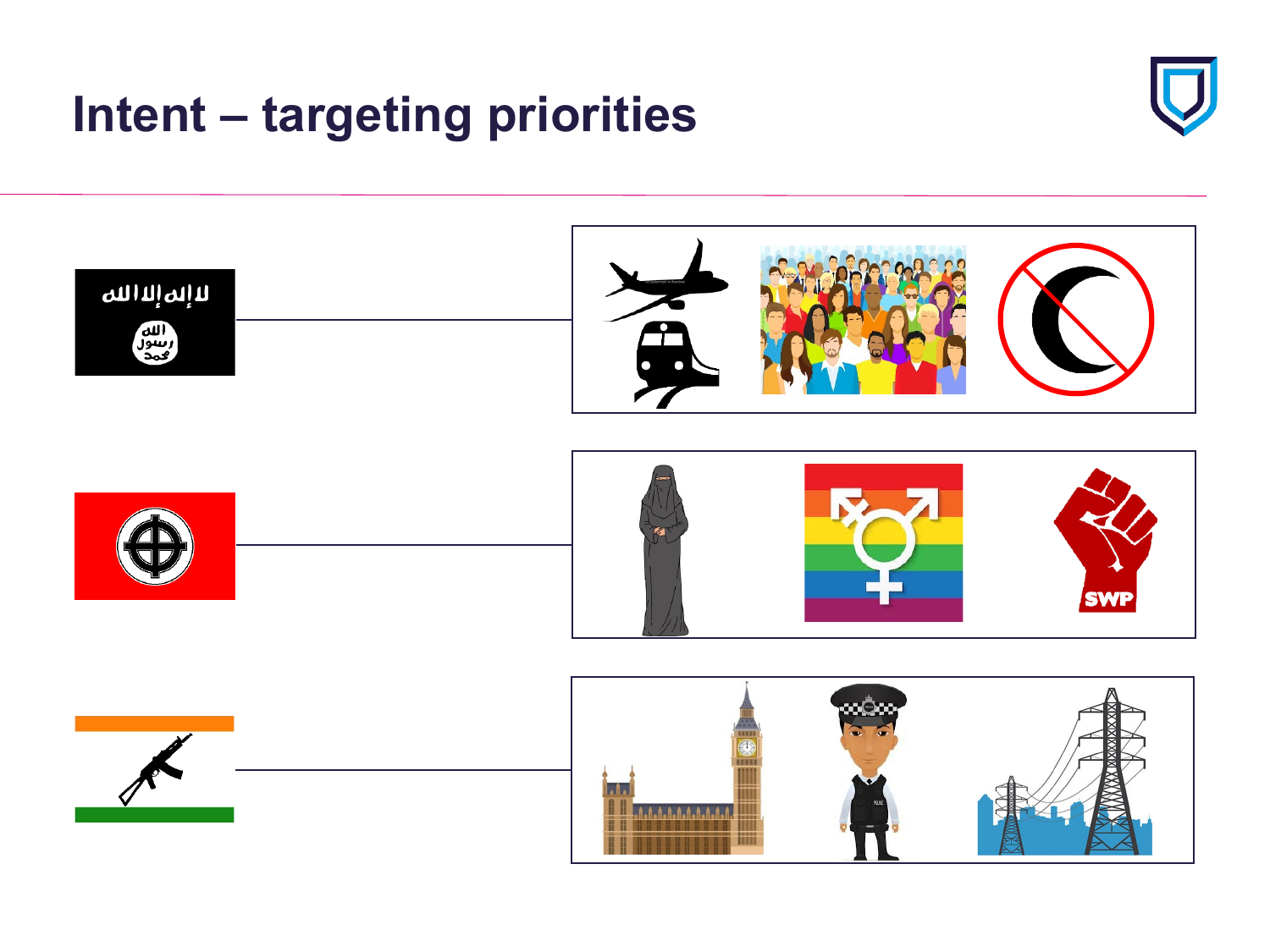# **Intent – targeting priorities**



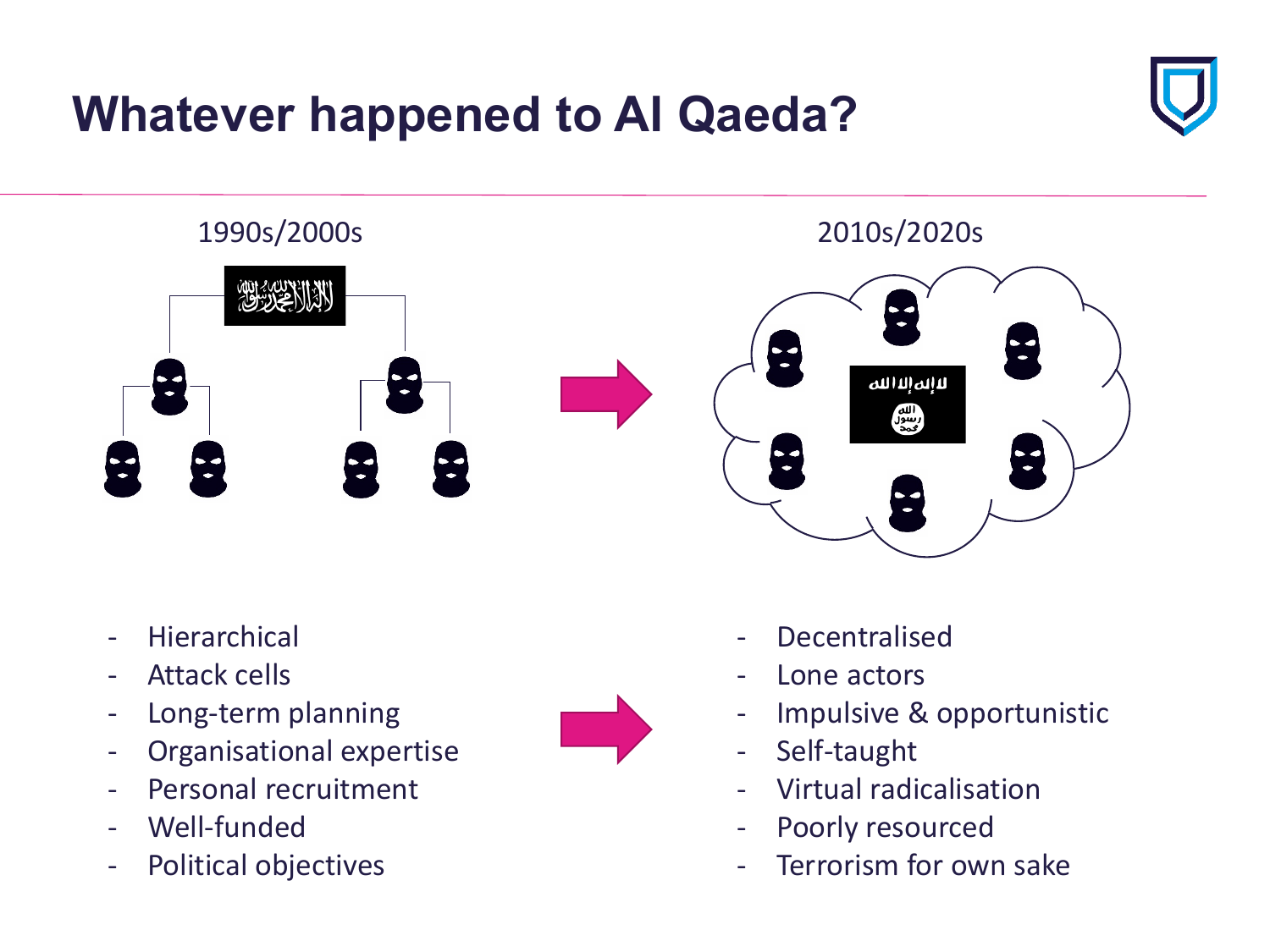# **Whatever happened to Al Qaeda?**





- Hierarchical
- Attack cells
- Long-term planning
- Organisational expertise
- Personal recruitment
- Well-funded
- Political objectives



- Decentralised
- Lone actors
- Impulsive & opportunistic
- Self-taught
- Virtual radicalisation
- Poorly resourced
- Terrorism for own sake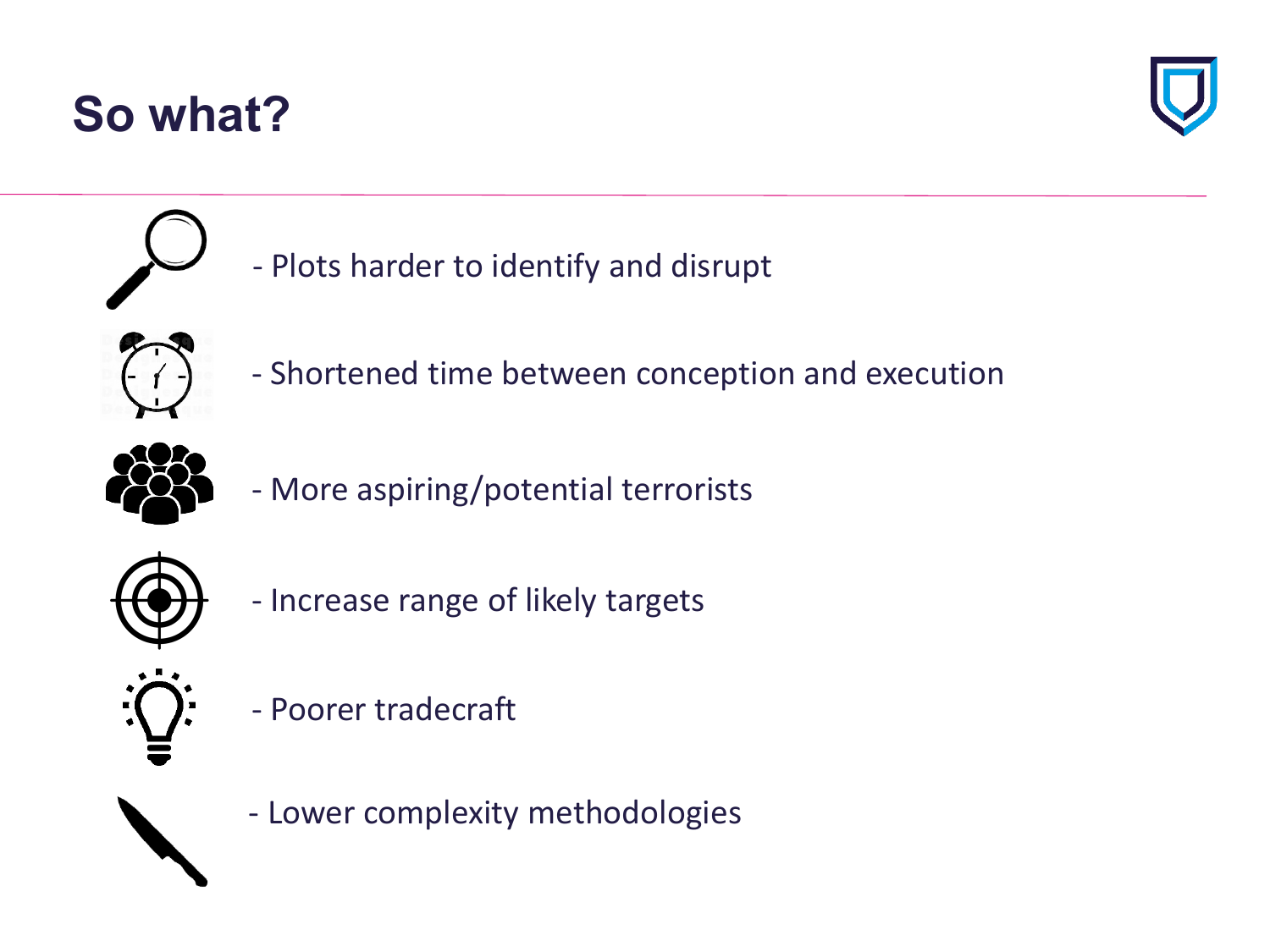# **So what?**





- Plots harder to identify and disrupt



- Shortened time between conception and execution



- More aspiring/potential terrorists



- Increase range of likely targets



- Poorer tradecraft
- Lower complexity methodologies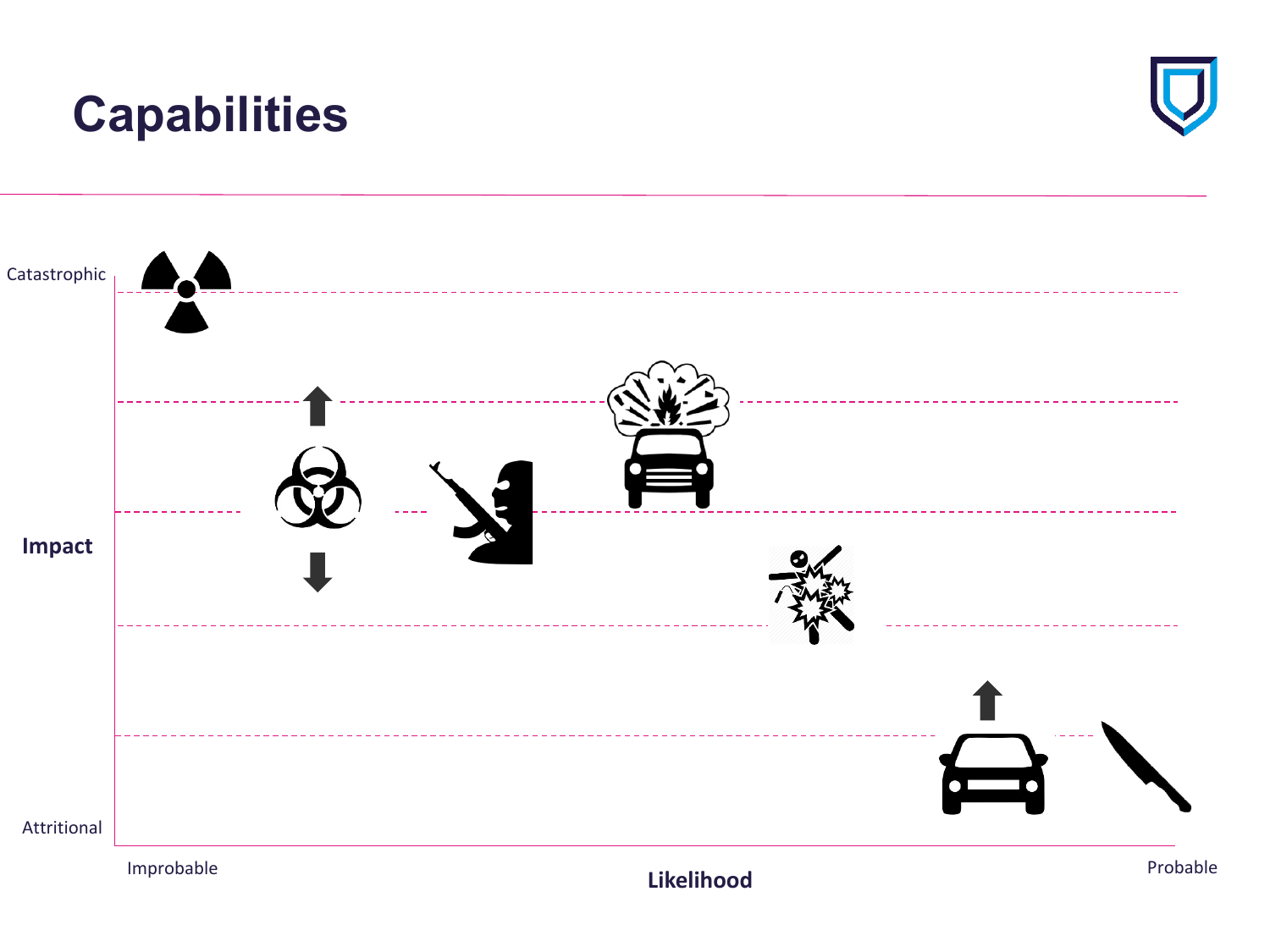### **Capabilities**



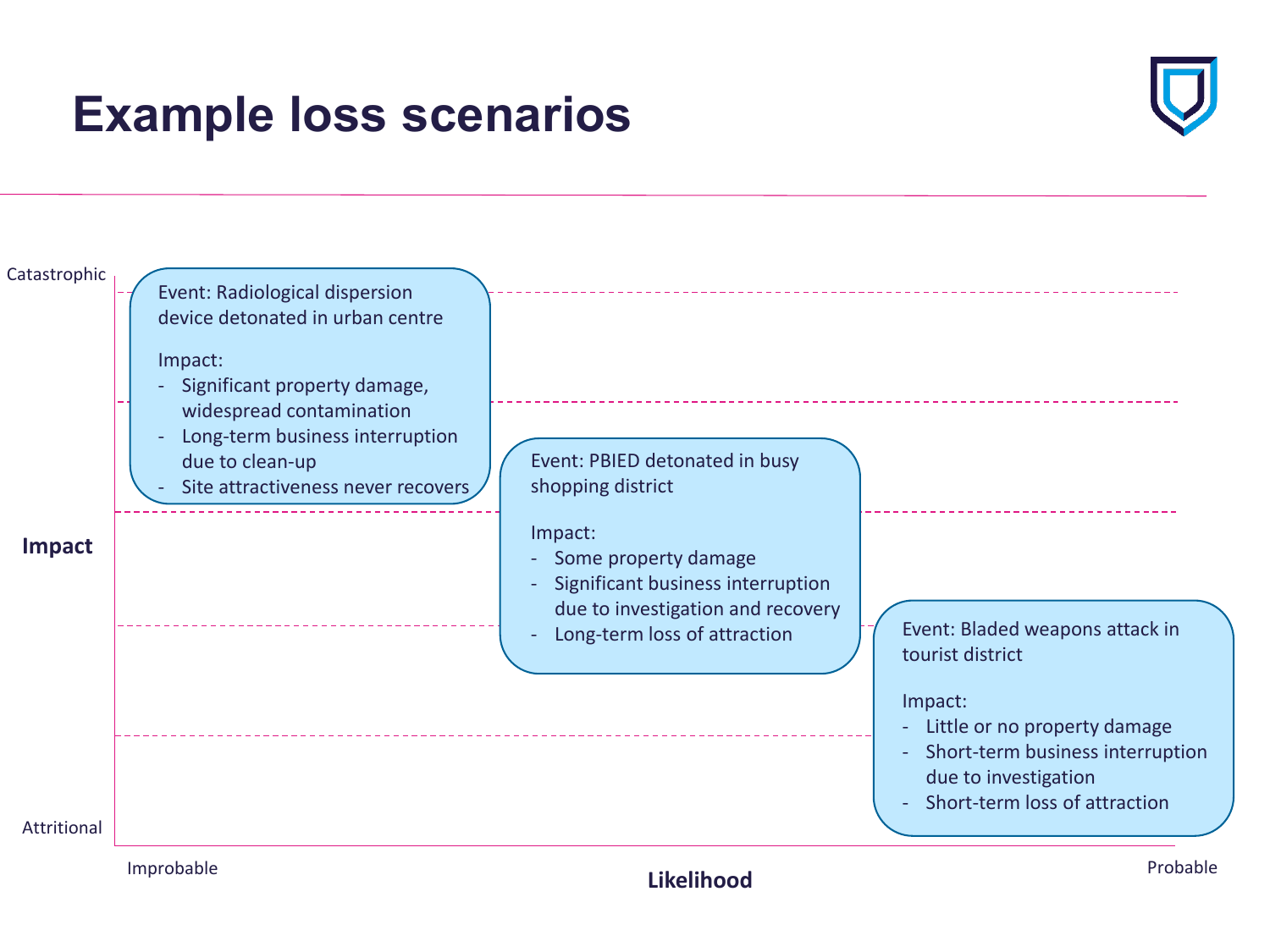## **Example loss scenarios**



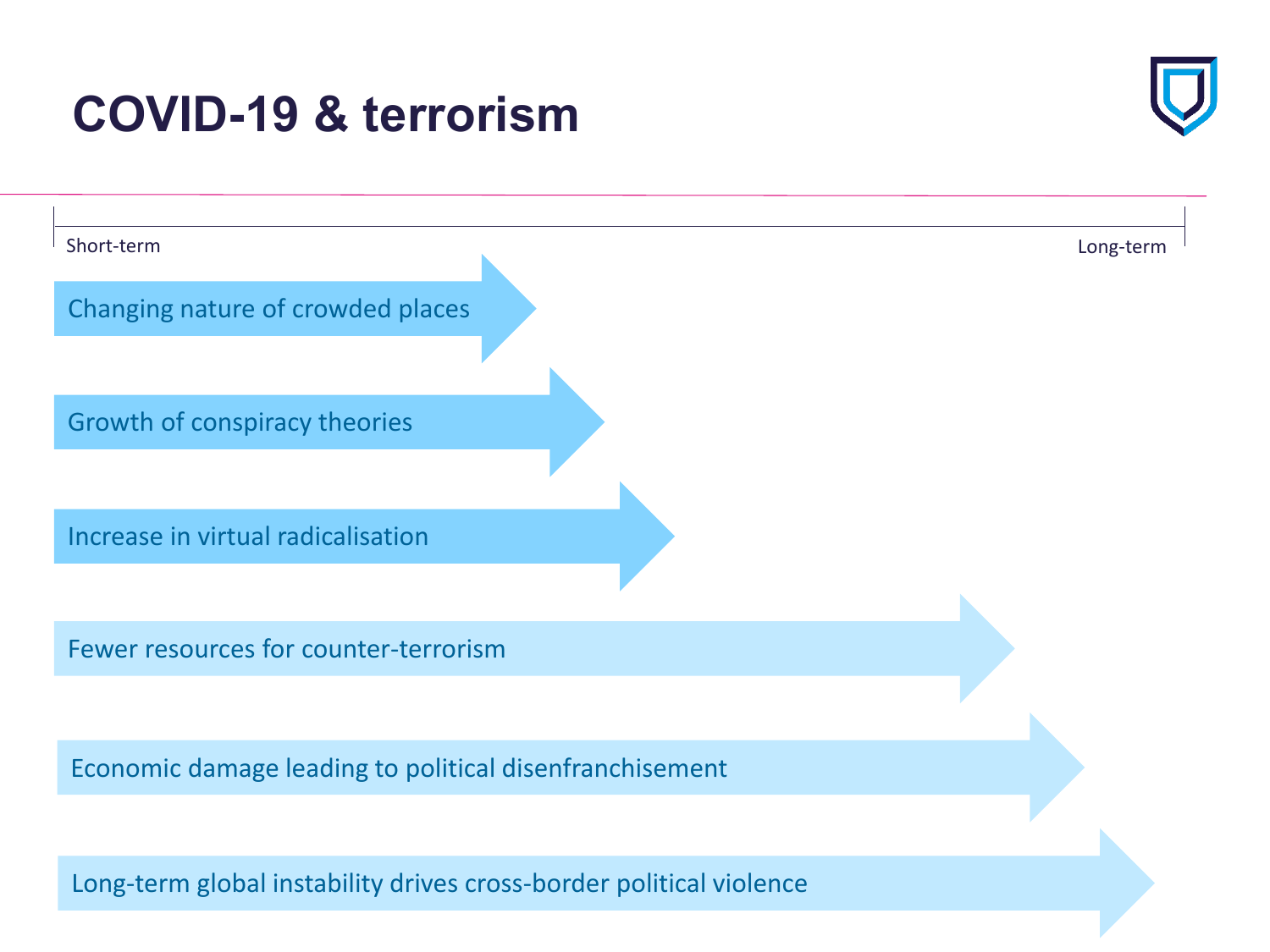# **COVID-19 & terrorism**



| Short-term                                                          | Long-term |
|---------------------------------------------------------------------|-----------|
| Changing nature of crowded places                                   |           |
|                                                                     |           |
| Growth of conspiracy theories                                       |           |
|                                                                     |           |
|                                                                     |           |
| Increase in virtual radicalisation                                  |           |
|                                                                     |           |
| Fewer resources for counter-terrorism                               |           |
|                                                                     |           |
|                                                                     |           |
| Economic damage leading to political disenfranchisement             |           |
|                                                                     |           |
| Long-term global instability drives cross-border political violence |           |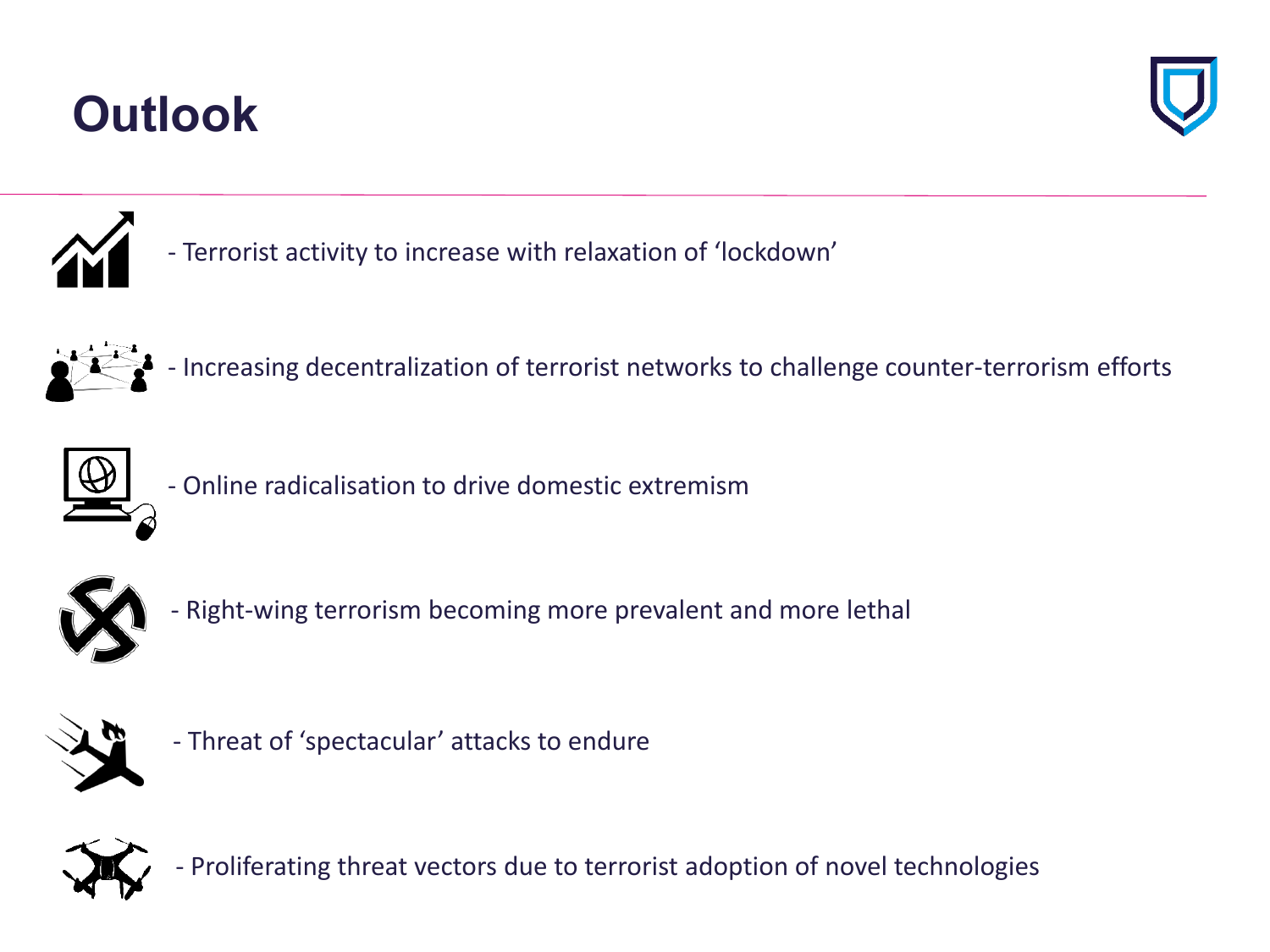# **Outlook**





- Terrorist activity to increase with relaxation of 'lockdown'



- Increasing decentralization of terrorist networks to challenge counter-terrorism efforts



- Online radicalisation to drive domestic extremism



- Right-wing terrorism becoming more prevalent and more lethal



- Threat of 'spectacular' attacks to endure



- Proliferating threat vectors due to terrorist adoption of novel technologies